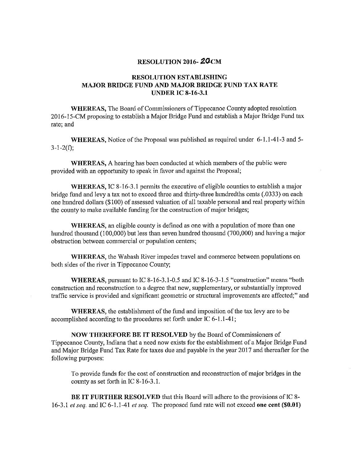## RESOLUTION 2016- ZGCM

## RESOLUTION ESTABLISHING MAJOR BRIDGE FUND AND MAJOR BRIDGE FUND TAX RATE **UNDER IC 8-16-3.1**

WHEREAS, The Board of Commissioners of Tippecanoe County adopted resolution 2016-15-CM proposing to establish a Major Bridge Fund and establish a Major Bridge Fund tax rate; and

WHEREAS, Notice of the Proposal was published as required under 6-1.1-41-3 and 5- $3 - 1 - 2(f)$ ;

WHEREAS, A hearing has been conducted at which members of the public were provided with an opportunity to speak in favor and against the Proposal;

WHEREAS, IC 8-16-3.1 permits the executive of eligible counties to establish a major bridge fund and levy <sup>a</sup> tax not to exceed three and thirty—three hundredths cents (.0333) on each one hundred dollars (\$100) of assessed valuation of all taxable personal and real property within the county to make available funding for the construction of major bridges;

WHEREAS, an eligible county is defined as one with <sup>a</sup> population of more than one hundred thousand (100,000) but less than seven hundred thousand (700,000) and having <sup>a</sup> major obstruction between commercial or population centers;

WHEREAS, the Wabash River impedes travel and commerce between populations on both sides of the river in Tippecanoe County;

WHEREAS, pursuant to IC 8-16-3.1-0.5 and IC 8-16-3-1.5 "construction" means "both construction and reconstruction to <sup>a</sup> degree that new, supplementary, or substantially improved traffic service is provided and significant geometric or structural improvements are affected;" and

WHEREAS, the establishment of the fund and imposition of the tax levy are to be accomplished according to the procedures set forth under IC 6-1.1-41;

NOW THEREFORE BE IT RESOLVED by the Board of Commissioners of Tippecanoe County, Indiana that <sup>a</sup> need now exists for the establishment of <sup>a</sup> Major Bridge Fund and Major Bridge Fund Tax Rate for taxes due and payable in the year 2017 and thereafter for the following purposes:

To provide funds for the cost of construction and reconstruction of major bridges in the county as set forth in IC 8-16-3.1.

BE IT FURTHER RESOLVED that this Board will adhere to the provisions of IC 8- 16-3.1 et seq. and IC 6-1.1-41 et seq. The proposed fund rate will not exceed one cent (\$0.01)